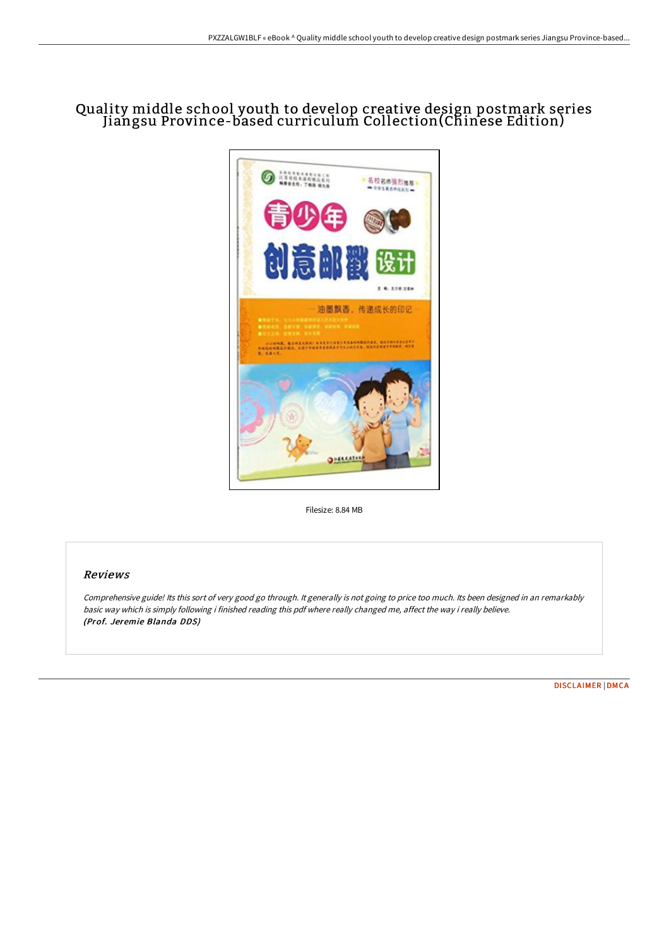## Quality middle school youth to develop creative design postmark series Jiangsu Province-based curriculum Collection(Chinese Edition)



Filesize: 8.84 MB

## Reviews

Comprehensive guide! Its this sort of very good go through. It generally is not going to price too much. Its been designed in an remarkably basic way which is simply following i finished reading this pdf where really changed me, affect the way i really believe. (Prof. Jeremie Blanda DDS)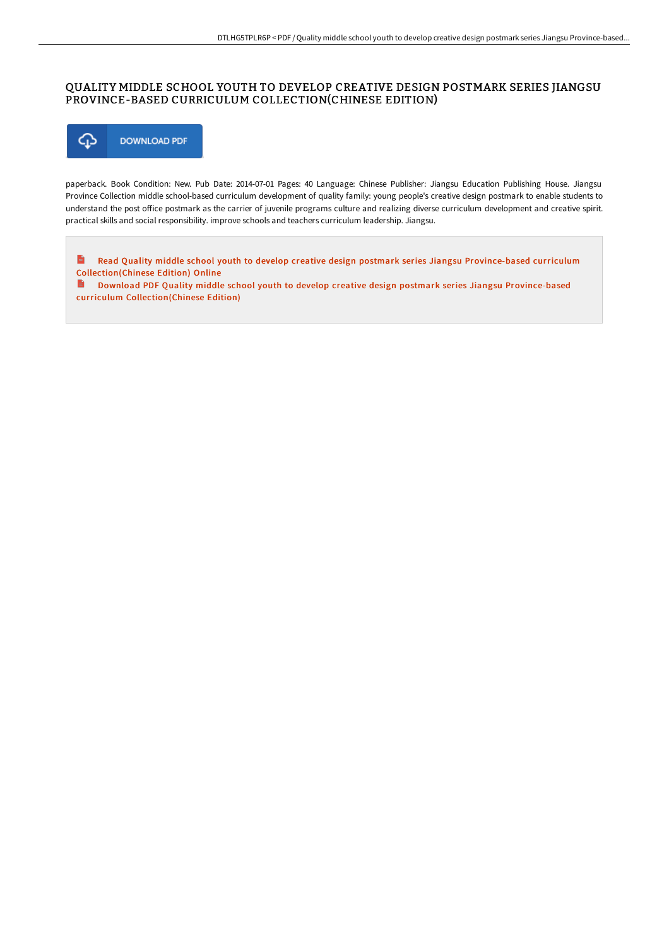## QUALITY MIDDLE SCHOOL YOUTH TO DEVELOP CREATIVE DESIGN POSTMARK SERIES JIANGSU PROVINCE-BASED CURRICULUM COLLECTION(CHINESE EDITION)



paperback. Book Condition: New. Pub Date: 2014-07-01 Pages: 40 Language: Chinese Publisher: Jiangsu Education Publishing House. Jiangsu Province Collection middle school-based curriculum development of quality family: young people's creative design postmark to enable students to understand the post office postmark as the carrier of juvenile programs culture and realizing diverse curriculum development and creative spirit. practical skills and social responsibility. improve schools and teachers curriculum leadership. Jiangsu.

 $\mathbf{m}$ Read Quality middle school youth to develop creative design postmark series Jiangsu Province-based curriculum [Collection\(Chinese](http://techno-pub.tech/quality-middle-school-youth-to-develop-creative-.html) Edition) Online

B. Download PDF Quality middle school youth to develop creative design postmark series Jiangsu Province-based curriculum [Collection\(Chinese](http://techno-pub.tech/quality-middle-school-youth-to-develop-creative-.html) Edition)